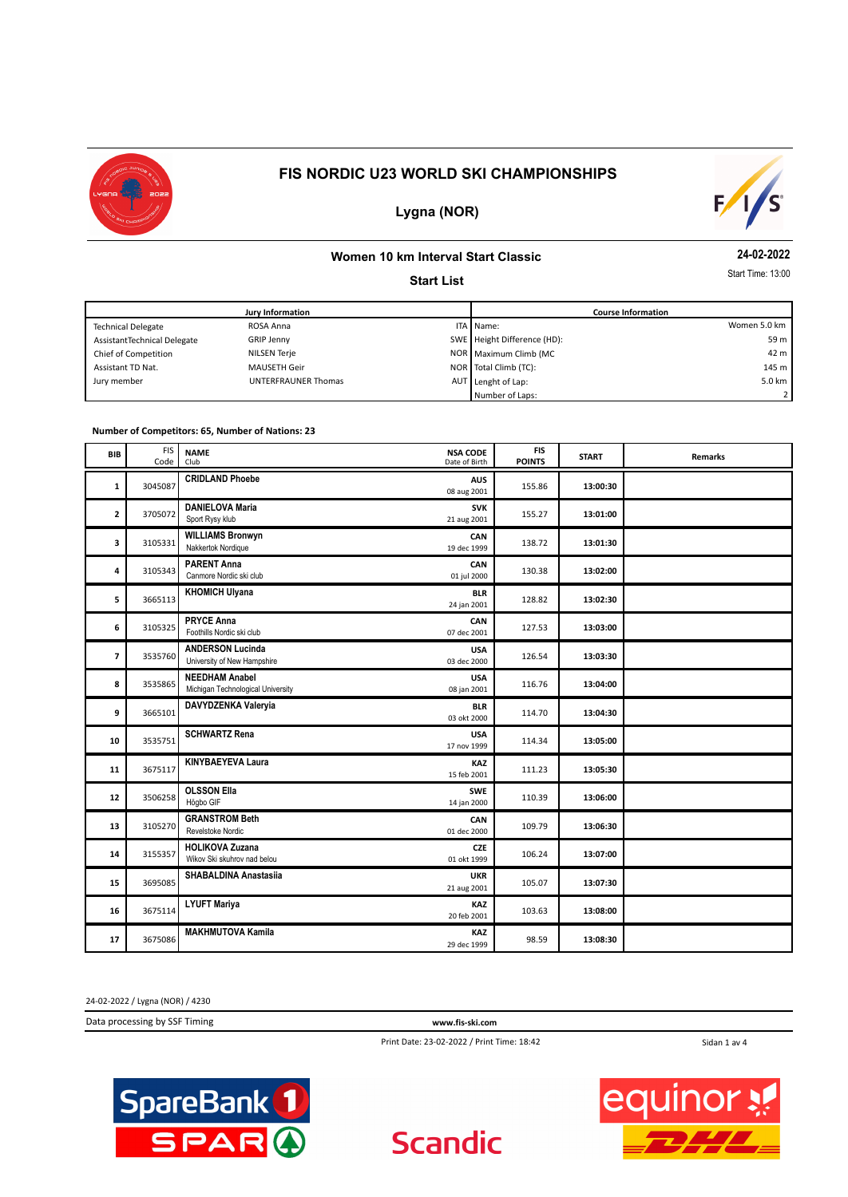



# **Lygna (NOR)**

#### **Women 10 km Interval Start Classic**

**Start List**

**24-02-2022**

Start Time: 13:00

| <b>Jury Information</b>     |                            |  | <b>Course Information</b>   |                |  |
|-----------------------------|----------------------------|--|-----------------------------|----------------|--|
| <b>Technical Delegate</b>   | ROSA Anna                  |  | ITA Mame:                   | Women 5.0 km   |  |
| AssistantTechnical Delegate | GRIP Jenny                 |  | SWE Height Difference (HD): | 59 m           |  |
| Chief of Competition        | NILSEN Terje               |  | NOR   Maximum Climb (MC     | 42 m           |  |
| Assistant TD Nat.           | <b>MAUSETH Geir</b>        |  | NOR Total Climb (TC):       | 145 m          |  |
| Jury member                 | <b>UNTERFRAUNER Thomas</b> |  | AUT Lenght of Lap:          | 5.0 km $\vert$ |  |
|                             |                            |  | Number of Laps:             | 2 I            |  |

#### **Number of Competitors: 65, Number of Nations: 23**

| BIB                     | <b>FIS</b><br>Code | <b>NAME</b><br><b>NSA CODE</b><br>Date of Birth<br>Club    |                           | FIS<br><b>POINTS</b> | <b>START</b> | <b>Remarks</b> |
|-------------------------|--------------------|------------------------------------------------------------|---------------------------|----------------------|--------------|----------------|
| 1                       | 3045087            | <b>CRIDLAND Phoebe</b><br>08 aug 2001                      | <b>AUS</b>                | 155.86               | 13:00:30     |                |
| $\mathbf{z}$            | 3705072            | <b>DANIELOVA Maria</b><br>Sport Rysy klub<br>21 aug 2001   | <b>SVK</b>                | 155.27               | 13:01:00     |                |
| 3                       | 3105331            | <b>WILLIAMS Bronwyn</b><br>Nakkertok Nordique              | CAN<br>19 dec 1999        | 138.72               | 13:01:30     |                |
| 4                       | 3105343            | <b>PARENT Anna</b><br>Canmore Nordic ski club              | CAN<br>01 jul 2000        | 130.38               | 13:02:00     |                |
| 5                       | 3665113            | <b>KHOMICH Ulyana</b>                                      | <b>BLR</b><br>24 jan 2001 | 128.82               | 13:02:30     |                |
| 6                       | 3105325            | <b>PRYCE Anna</b><br>Foothills Nordic ski club             | CAN<br>07 dec 2001        | 127.53               | 13:03:00     |                |
| $\overline{\mathbf{z}}$ | 3535760            | <b>ANDERSON Lucinda</b><br>University of New Hampshire     | <b>USA</b><br>03 dec 2000 | 126.54               | 13:03:30     |                |
| 8                       | 3535865            | <b>NEEDHAM Anabel</b><br>Michigan Technological University | <b>USA</b><br>08 jan 2001 | 116.76               | 13:04:00     |                |
| 9                       | 3665101            | DAVYDZENKA Valeryia                                        | <b>BLR</b><br>03 okt 2000 | 114.70               | 13:04:30     |                |
| 10                      | 3535751            | <b>SCHWARTZ Rena</b><br>17 nov 1999                        | <b>USA</b>                | 114.34               | 13:05:00     |                |
| 11                      | 3675117            | <b>KINYBAEYEVA Laura</b>                                   | <b>KAZ</b><br>15 feb 2001 | 111.23               | 13:05:30     |                |
| 12                      | 3506258            | <b>OLSSON Ella</b><br>Högbo GIF                            | <b>SWE</b><br>14 jan 2000 | 110.39               | 13:06:00     |                |
| 13                      | 3105270            | <b>GRANSTROM Beth</b><br>Revelstoke Nordic                 | CAN<br>01 dec 2000        | 109.79               | 13:06:30     |                |
| 14                      | 3155357            | <b>HOLIKOVA Zuzana</b><br>Wikov Ski skuhrov nad belou      | <b>CZE</b><br>01 okt 1999 | 106.24               | 13:07:00     |                |
| 15                      | 3695085            | <b>SHABALDINA Anastasiia</b><br>21 aug 2001                | <b>UKR</b>                | 105.07               | 13:07:30     |                |
| 16                      | 3675114            | <b>LYUFT Mariya</b>                                        | <b>KAZ</b><br>20 feb 2001 | 103.63               | 13:08:00     |                |
| 17                      | 3675086            | <b>MAKHMUTOVA Kamila</b>                                   | KAZ<br>29 dec 1999        | 98.59                | 13:08:30     |                |

24-02-2022 / Lygna (NOR) / 4230

Data processing by SSF Timing **www.fis-ski.com**

Print Date: 23-02-2022 / Print Time: 18:42

Sidan 1 av 4



**Scandic** 

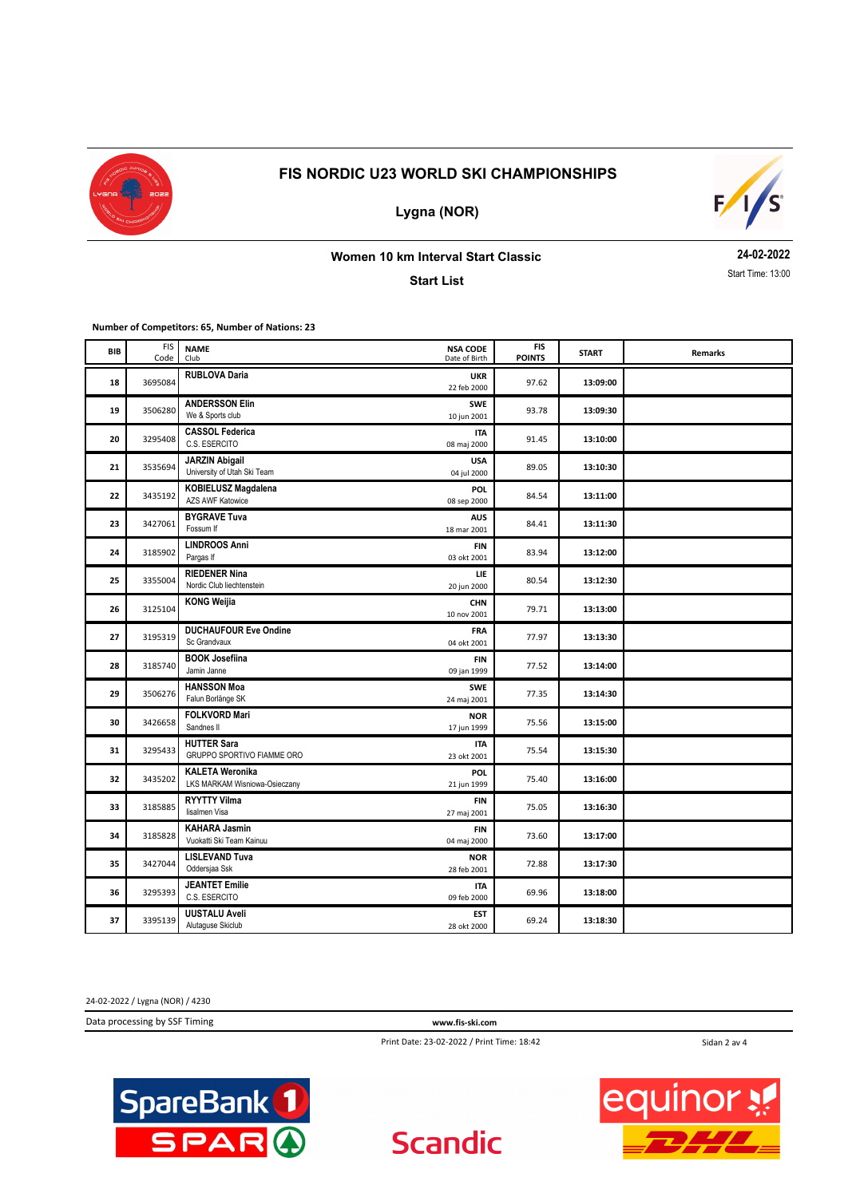

**Lygna (NOR)**



**Women 10 km Interval Start Classic**

**Start List**

**24-02-2022** Start Time: 13:00

**Number of Competitors: 65, Number of Nations: 23**

| BIB | <b>FIS</b><br>Code | <b>NAME</b><br>Club                                     | <b>NSA CODE</b><br>Date of Birth | <b>FIS</b><br><b>POINTS</b> | <b>START</b> | Remarks |
|-----|--------------------|---------------------------------------------------------|----------------------------------|-----------------------------|--------------|---------|
| 18  | 3695084            | <b>RUBLOVA Daria</b>                                    | <b>UKR</b><br>22 feb 2000        | 97.62                       | 13:09:00     |         |
| 19  | 3506280            | <b>ANDERSSON Elin</b><br>We & Sports club               | <b>SWE</b><br>10 jun 2001        | 93.78                       | 13:09:30     |         |
| 20  | 3295408            | <b>CASSOL Federica</b><br>C.S. ESERCITO                 | <b>ITA</b><br>08 maj 2000        | 91.45                       | 13:10:00     |         |
| 21  | 3535694            | <b>JARZIN Abigail</b><br>University of Utah Ski Team    | USA<br>04 jul 2000               | 89.05                       | 13:10:30     |         |
| 22  | 3435192            | <b>KOBIELUSZ Magdalena</b><br><b>AZS AWF Katowice</b>   | POL<br>08 sep 2000               | 84.54                       | 13:11:00     |         |
| 23  | 3427061            | <b>BYGRAVE Tuva</b><br>Fossum If                        | <b>AUS</b><br>18 mar 2001        | 84.41                       | 13:11:30     |         |
| 24  | 3185902            | <b>LINDROOS Anni</b><br>Pargas If                       | <b>FIN</b><br>03 okt 2001        | 83.94                       | 13:12:00     |         |
| 25  | 3355004            | <b>RIEDENER Nina</b><br>Nordic Club liechtenstein       | LIE<br>20 jun 2000               | 80.54                       | 13:12:30     |         |
| 26  | 3125104            | <b>KONG Weijia</b>                                      | <b>CHN</b><br>10 nov 2001        | 79.71                       | 13:13:00     |         |
| 27  | 3195319            | <b>DUCHAUFOUR Eve Ondine</b><br>Sc Grandvaux            | <b>FRA</b><br>04 okt 2001        | 77.97                       | 13:13:30     |         |
| 28  | 3185740            | <b>BOOK Josefiina</b><br>Jamin Janne                    | <b>FIN</b><br>09 jan 1999        | 77.52                       | 13:14:00     |         |
| 29  | 3506276            | <b>HANSSON Moa</b><br>Falun Borlänge SK                 | <b>SWE</b><br>24 maj 2001        | 77.35                       | 13:14:30     |         |
| 30  | 3426658            | <b>FOLKVORD Mari</b><br>Sandnes II                      | <b>NOR</b><br>17 jun 1999        | 75.56                       | 13:15:00     |         |
| 31  | 3295433            | <b>HUTTER Sara</b><br>GRUPPO SPORTIVO FIAMME ORO        | <b>ITA</b><br>23 okt 2001        | 75.54                       | 13:15:30     |         |
| 32  | 3435202            | <b>KALETA Weronika</b><br>LKS MARKAM Wisniowa-Osieczany | POL<br>21 jun 1999               | 75.40                       | 13:16:00     |         |
| 33  | 3185885            | <b>RYYTTY Vilma</b><br>lisalmen Visa                    | <b>FIN</b><br>27 maj 2001        | 75.05                       | 13:16:30     |         |
| 34  | 3185828            | <b>KAHARA Jasmin</b><br>Vuokatti Ski Team Kainuu        | FIN<br>04 maj 2000               | 73.60                       | 13:17:00     |         |
| 35  | 3427044            | <b>LISLEVAND Tuva</b><br>Oddersjaa Ssk                  | <b>NOR</b><br>28 feb 2001        | 72.88                       | 13:17:30     |         |
| 36  | 3295393            | <b>JEANTET Emilie</b><br>C.S. ESERCITO                  | <b>ITA</b><br>09 feb 2000        | 69.96                       | 13:18:00     |         |
| 37  | 3395139            | <b>UUSTALU Aveli</b><br>Alutaguse Skiclub               | <b>EST</b><br>28 okt 2000        | 69.24                       | 13:18:30     |         |

24-02-2022 / Lygna (NOR) / 4230

Data processing by SSF Timing **www.fis-ski.com**

Print Date: 23-02-2022 / Print Time: 18:42

Sidan 2 av 4



**Scandic** 

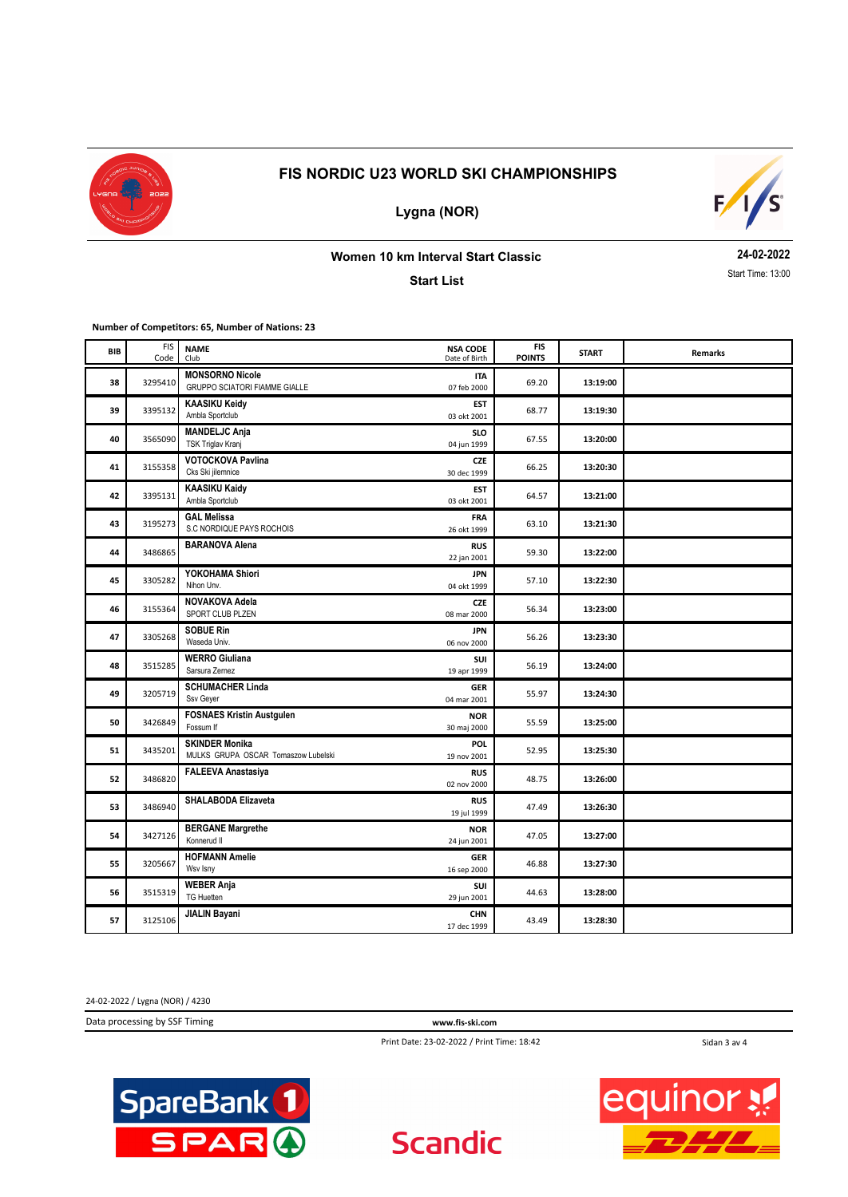

**Lygna (NOR)**



## **Women 10 km Interval Start Classic**

**Start List**

**24-02-2022** Start Time: 13:00

**Number of Competitors: 65, Number of Nations: 23**

| BIB | <b>FIS</b><br>Code | <b>NAME</b><br>Club                                          | <b>NSA CODE</b><br>Date of Birth | <b>FIS</b><br><b>POINTS</b> | <b>START</b> | <b>Remarks</b> |
|-----|--------------------|--------------------------------------------------------------|----------------------------------|-----------------------------|--------------|----------------|
| 38  | 3295410            | <b>MONSORNO Nicole</b><br>GRUPPO SCIATORI FIAMME GIALLE      | <b>ITA</b><br>07 feb 2000        | 69.20                       | 13:19:00     |                |
| 39  | 3395132            | <b>KAASIKU Keidy</b><br>Ambla Sportclub                      | <b>EST</b><br>03 okt 2001        | 68.77                       | 13:19:30     |                |
| 40  | 3565090            | <b>MANDELJC Anja</b><br>TSK Triglav Kranj                    | <b>SLO</b><br>04 jun 1999        | 67.55                       | 13:20:00     |                |
| 41  | 3155358            | <b>VOTOCKOVA Pavlina</b><br>Cks Ski jilemnice                | <b>CZE</b><br>30 dec 1999        | 66.25                       | 13:20:30     |                |
| 42  | 3395131            | <b>KAASIKU Kaidy</b><br>Ambla Sportclub                      | EST<br>03 okt 2001               | 64.57                       | 13:21:00     |                |
| 43  | 3195273            | <b>GAL Melissa</b><br>S.C NORDIQUE PAYS ROCHOIS              | <b>FRA</b><br>26 okt 1999        | 63.10                       | 13:21:30     |                |
| 44  | 3486865            | <b>BARANOVA Alena</b>                                        | <b>RUS</b><br>22 jan 2001        | 59.30                       | 13:22:00     |                |
| 45  | 3305282            | YOKOHAMA Shiori<br>Nihon Unv.                                | <b>JPN</b><br>04 okt 1999        | 57.10                       | 13:22:30     |                |
| 46  | 3155364            | NOVAKOVA Adela<br>SPORT CLUB PLZEN                           | <b>CZE</b><br>08 mar 2000        | 56.34                       | 13:23:00     |                |
| 47  | 3305268            | <b>SOBUE Rin</b><br>Waseda Univ.                             | <b>JPN</b><br>06 nov 2000        | 56.26                       | 13:23:30     |                |
| 48  | 3515285            | <b>WERRO Giuliana</b><br>Sarsura Zernez                      | SUI<br>19 apr 1999               | 56.19                       | 13:24:00     |                |
| 49  | 3205719            | <b>SCHUMACHER Linda</b><br>Ssv Geyer                         | <b>GER</b><br>04 mar 2001        | 55.97                       | 13:24:30     |                |
| 50  | 3426849            | <b>FOSNAES Kristin Austgulen</b><br>Fossum If                | <b>NOR</b><br>30 maj 2000        | 55.59                       | 13:25:00     |                |
| 51  | 3435201            | <b>SKINDER Monika</b><br>MULKS GRUPA OSCAR Tomaszow Lubelski | <b>POL</b><br>19 nov 2001        | 52.95                       | 13:25:30     |                |
| 52  | 3486820            | <b>FALEEVA Anastasiya</b>                                    | <b>RUS</b><br>02 nov 2000        | 48.75                       | 13:26:00     |                |
| 53  | 3486940            | <b>SHALABODA Elizaveta</b>                                   | <b>RUS</b><br>19 jul 1999        | 47.49                       | 13:26:30     |                |
| 54  | 3427126            | <b>BERGANE Margrethe</b><br>Konnerud II                      | <b>NOR</b><br>24 jun 2001        | 47.05                       | 13:27:00     |                |
| 55  | 3205667            | <b>HOFMANN Amelie</b><br>Wsv Isny                            | <b>GER</b><br>16 sep 2000        | 46.88                       | 13:27:30     |                |
| 56  | 3515319            | <b>WEBER Anja</b><br><b>TG Huetten</b>                       | SUI<br>29 jun 2001               | 44.63                       | 13:28:00     |                |
| 57  | 3125106            | <b>JIALIN Bayani</b>                                         | <b>CHN</b><br>17 dec 1999        | 43.49                       | 13:28:30     |                |

24-02-2022 / Lygna (NOR) / 4230

Data processing by SSF Timing **www.fis-ski.com**

**Scandic** 

Print Date: 23-02-2022 / Print Time: 18:42

Sidan 3 av 4



**equinor**